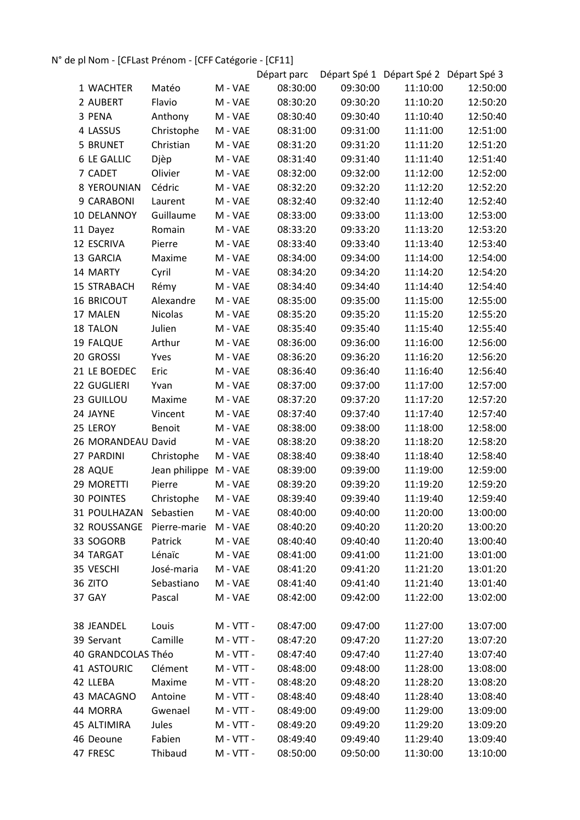## N° de pl Nom - [CFLast Prénom - [CFF Catégorie - [CF11]

|                        |                |             | Départ parc |          | Départ Spé 1 Départ Spé 2 Départ Spé 3 |          |
|------------------------|----------------|-------------|-------------|----------|----------------------------------------|----------|
| 1 WACHTER              | Matéo          | M - VAE     | 08:30:00    | 09:30:00 | 11:10:00                               | 12:50:00 |
| 2 AUBERT               | Flavio         | M - VAE     | 08:30:20    | 09:30:20 | 11:10:20                               | 12:50:20 |
| 3 PENA                 | Anthony        | M - VAE     | 08:30:40    | 09:30:40 | 11:10:40                               | 12:50:40 |
| 4 LASSUS               | Christophe     | M - VAE     | 08:31:00    | 09:31:00 | 11:11:00                               | 12:51:00 |
| 5 BRUNET               | Christian      | M - VAE     | 08:31:20    | 09:31:20 | 11:11:20                               | 12:51:20 |
| <b>6 LE GALLIC</b>     | Djèp           | M - VAE     | 08:31:40    | 09:31:40 | 11:11:40                               | 12:51:40 |
| 7 CADET                | Olivier        | M - VAE     | 08:32:00    | 09:32:00 | 11:12:00                               | 12:52:00 |
| 8 YEROUNIAN            | Cédric         | M - VAE     | 08:32:20    | 09:32:20 | 11:12:20                               | 12:52:20 |
| 9 CARABONI             | Laurent        | M - VAE     | 08:32:40    | 09:32:40 | 11:12:40                               | 12:52:40 |
| 10 DELANNOY            | Guillaume      | M - VAE     | 08:33:00    | 09:33:00 | 11:13:00                               | 12:53:00 |
| 11 Dayez               | Romain         | M - VAE     | 08:33:20    | 09:33:20 | 11:13:20                               | 12:53:20 |
| 12 ESCRIVA             | Pierre         | M - VAE     | 08:33:40    | 09:33:40 | 11:13:40                               | 12:53:40 |
| 13 GARCIA              | Maxime         | M - VAE     | 08:34:00    | 09:34:00 | 11:14:00                               | 12:54:00 |
| 14 MARTY               | Cyril          | M - VAE     | 08:34:20    | 09:34:20 | 11:14:20                               | 12:54:20 |
| <b>15 STRABACH</b>     | Rémy           | M - VAE     | 08:34:40    | 09:34:40 | 11:14:40                               | 12:54:40 |
| <b>16 BRICOUT</b>      | Alexandre      | M - VAE     | 08:35:00    | 09:35:00 | 11:15:00                               | 12:55:00 |
| 17 MALEN               | <b>Nicolas</b> | M - VAE     | 08:35:20    | 09:35:20 | 11:15:20                               | 12:55:20 |
| 18 TALON               | Julien         | M - VAE     | 08:35:40    | 09:35:40 | 11:15:40                               | 12:55:40 |
| 19 FALQUE              | Arthur         | M - VAE     | 08:36:00    | 09:36:00 | 11:16:00                               | 12:56:00 |
| 20 GROSSI              | Yves           | M - VAE     | 08:36:20    | 09:36:20 | 11:16:20                               | 12:56:20 |
| 21 LE BOEDEC           | Eric           | M - VAE     | 08:36:40    | 09:36:40 | 11:16:40                               | 12:56:40 |
| 22 GUGLIERI            | Yvan           | M - VAE     | 08:37:00    | 09:37:00 | 11:17:00                               | 12:57:00 |
| 23 GUILLOU             | Maxime         | M - VAE     | 08:37:20    | 09:37:20 | 11:17:20                               | 12:57:20 |
| 24 JAYNE               | Vincent        | M - VAE     | 08:37:40    | 09:37:40 | 11:17:40                               | 12:57:40 |
| 25 LEROY               | <b>Benoit</b>  | M - VAE     | 08:38:00    | 09:38:00 | 11:18:00                               | 12:58:00 |
| 26 MORANDEAU David     |                | M - VAE     | 08:38:20    | 09:38:20 | 11:18:20                               | 12:58:20 |
| 27 PARDINI             | Christophe     | M - VAE     | 08:38:40    | 09:38:40 | 11:18:40                               | 12:58:40 |
| 28 AQUE                | Jean philippe  | M - VAE     | 08:39:00    | 09:39:00 | 11:19:00                               | 12:59:00 |
| 29 MORETTI             | Pierre         | M - VAE     | 08:39:20    | 09:39:20 | 11:19:20                               | 12:59:20 |
| <b>30 POINTES</b>      | Christophe     | M - VAE     | 08:39:40    | 09:39:40 | 11:19:40                               | 12:59:40 |
| 31 POULHAZAN Sebastien |                | M - VAE     | 08:40:00    | 09:40:00 | 11:20:00                               | 13:00:00 |
| 32 ROUSSANGE           | Pierre-marie   | M - VAE     | 08:40:20    | 09:40:20 | 11:20:20                               | 13:00:20 |
| 33 SOGORB              | Patrick        | M - VAE     | 08:40:40    | 09:40:40 | 11:20:40                               | 13:00:40 |
| 34 TARGAT              | Lénaïc         | M - VAE     | 08:41:00    | 09:41:00 | 11:21:00                               | 13:01:00 |
| 35 VESCHI              | José-maria     | M - VAE     | 08:41:20    | 09:41:20 | 11:21:20                               | 13:01:20 |
| 36 ZITO                | Sebastiano     | M - VAE     | 08:41:40    | 09:41:40 | 11:21:40                               | 13:01:40 |
| 37 GAY                 | Pascal         | M - VAE     | 08:42:00    | 09:42:00 | 11:22:00                               | 13:02:00 |
|                        |                |             |             |          |                                        |          |
| 38 JEANDEL             | Louis          | M - VTT -   | 08:47:00    | 09:47:00 | 11:27:00                               | 13:07:00 |
| 39 Servant             | Camille        | $M - VTT -$ | 08:47:20    | 09:47:20 | 11:27:20                               | 13:07:20 |
| 40 GRANDCOLAS Théo     |                | M - VTT -   | 08:47:40    | 09:47:40 | 11:27:40                               | 13:07:40 |
| <b>41 ASTOURIC</b>     | Clément        | M - VTT -   | 08:48:00    | 09:48:00 | 11:28:00                               | 13:08:00 |
| 42 LLEBA               | Maxime         | $M - VTT -$ | 08:48:20    | 09:48:20 | 11:28:20                               | 13:08:20 |
| 43 MACAGNO             | Antoine        | $M - VTT -$ | 08:48:40    | 09:48:40 | 11:28:40                               | 13:08:40 |
| 44 MORRA               | Gwenael        | $M - VTT -$ | 08:49:00    | 09:49:00 | 11:29:00                               | 13:09:00 |
| 45 ALTIMIRA            | Jules          | M - VTT -   | 08:49:20    | 09:49:20 | 11:29:20                               | 13:09:20 |
| 46 Deoune              | Fabien         | $M - VTT -$ | 08:49:40    | 09:49:40 | 11:29:40                               | 13:09:40 |
| 47 FRESC               | Thibaud        | M - VTT -   | 08:50:00    | 09:50:00 | 11:30:00                               | 13:10:00 |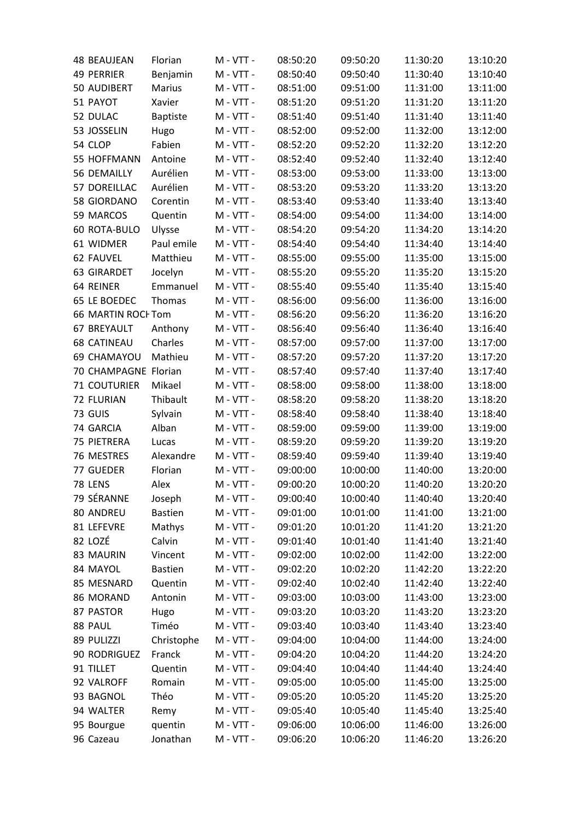| <b>48 BEAUJEAN</b>   | Florian         | M - VTT -   | 08:50:20 | 09:50:20 | 11:30:20 | 13:10:20 |
|----------------------|-----------------|-------------|----------|----------|----------|----------|
| <b>49 PERRIER</b>    | Benjamin        | M - VTT -   | 08:50:40 | 09:50:40 | 11:30:40 | 13:10:40 |
| 50 AUDIBERT          | <b>Marius</b>   | M - VTT -   | 08:51:00 | 09:51:00 | 11:31:00 | 13:11:00 |
| 51 PAYOT             | Xavier          | M - VTT -   | 08:51:20 | 09:51:20 | 11:31:20 | 13:11:20 |
| 52 DULAC             | <b>Baptiste</b> | $M - VTT -$ | 08:51:40 | 09:51:40 | 11:31:40 | 13:11:40 |
| 53 JOSSELIN          | Hugo            | $M - VTT -$ | 08:52:00 | 09:52:00 | 11:32:00 | 13:12:00 |
| 54 CLOP              | Fabien          | M - VTT -   | 08:52:20 | 09:52:20 | 11:32:20 | 13:12:20 |
| 55 HOFFMANN          | Antoine         | M - VTT -   | 08:52:40 | 09:52:40 | 11:32:40 | 13:12:40 |
| 56 DEMAILLY          | Aurélien        | M - VTT -   | 08:53:00 | 09:53:00 | 11:33:00 | 13:13:00 |
| 57 DOREILLAC         | Aurélien        | $M - VTT -$ | 08:53:20 | 09:53:20 | 11:33:20 | 13:13:20 |
| 58 GIORDANO          | Corentin        | M - VTT -   | 08:53:40 | 09:53:40 | 11:33:40 | 13:13:40 |
| 59 MARCOS            | Quentin         | M - VTT -   | 08:54:00 | 09:54:00 | 11:34:00 | 13:14:00 |
| 60 ROTA-BULO         | Ulysse          | M - VTT -   | 08:54:20 | 09:54:20 | 11:34:20 | 13:14:20 |
| 61 WIDMER            | Paul emile      | M - VTT -   | 08:54:40 | 09:54:40 | 11:34:40 | 13:14:40 |
| 62 FAUVEL            | Matthieu        | M - VTT -   | 08:55:00 | 09:55:00 | 11:35:00 | 13:15:00 |
| 63 GIRARDET          | Jocelyn         | M - VTT -   | 08:55:20 | 09:55:20 | 11:35:20 | 13:15:20 |
| 64 REINER            | Emmanuel        | M - VTT -   | 08:55:40 | 09:55:40 | 11:35:40 | 13:15:40 |
| 65 LE BOEDEC         | Thomas          | M - VTT -   | 08:56:00 | 09:56:00 | 11:36:00 | 13:16:00 |
| 66 MARTIN ROCHTom    |                 | M - VTT -   | 08:56:20 | 09:56:20 | 11:36:20 | 13:16:20 |
| 67 BREYAULT          | Anthony         | $M - VTT -$ | 08:56:40 | 09:56:40 | 11:36:40 | 13:16:40 |
| <b>68 CATINEAU</b>   | Charles         | M - VTT -   | 08:57:00 | 09:57:00 | 11:37:00 | 13:17:00 |
| 69 CHAMAYOU          | Mathieu         | M - VTT -   | 08:57:20 | 09:57:20 | 11:37:20 | 13:17:20 |
| 70 CHAMPAGNE Florian |                 | M - VTT -   | 08:57:40 | 09:57:40 | 11:37:40 | 13:17:40 |
| <b>71 COUTURIER</b>  | Mikael          | M - VTT -   | 08:58:00 | 09:58:00 | 11:38:00 | 13:18:00 |
| 72 FLURIAN           | Thibault        | $M - VTT -$ | 08:58:20 | 09:58:20 | 11:38:20 | 13:18:20 |
| 73 GUIS              | Sylvain         | $M - VTT -$ | 08:58:40 | 09:58:40 | 11:38:40 | 13:18:40 |
| 74 GARCIA            | Alban           | M - VTT -   | 08:59:00 | 09:59:00 | 11:39:00 | 13:19:00 |
| 75 PIETRERA          | Lucas           | M - VTT -   | 08:59:20 | 09:59:20 | 11:39:20 | 13:19:20 |
| 76 MESTRES           | Alexandre       | M - VTT -   | 08:59:40 | 09:59:40 | 11:39:40 | 13:19:40 |
| 77 GUEDER            | Florian         | M - VTT -   | 09:00:00 | 10:00:00 | 11:40:00 | 13:20:00 |
| 78 LENS              | Alex            | M - VTT -   | 09:00:20 | 10:00:20 | 11:40:20 | 13:20:20 |
| 79 SÉRANNE           | Joseph          | M - VTT -   | 09:00:40 | 10:00:40 | 11:40:40 | 13:20:40 |
| 80 ANDREU            | <b>Bastien</b>  | M - VTT -   | 09:01:00 | 10:01:00 | 11:41:00 | 13:21:00 |
| 81 LEFEVRE           | Mathys          | M - VTT -   | 09:01:20 | 10:01:20 | 11:41:20 | 13:21:20 |
| 82 LOZÉ              | Calvin          | M - VTT -   | 09:01:40 | 10:01:40 | 11:41:40 | 13:21:40 |
| 83 MAURIN            | Vincent         | M - VTT -   | 09:02:00 | 10:02:00 | 11:42:00 | 13:22:00 |
| 84 MAYOL             | <b>Bastien</b>  | M - VTT -   | 09:02:20 | 10:02:20 | 11:42:20 | 13:22:20 |
| 85 MESNARD           | Quentin         | M - VTT -   | 09:02:40 | 10:02:40 | 11:42:40 | 13:22:40 |
| 86 MORAND            | Antonin         | $M - VTT -$ | 09:03:00 | 10:03:00 | 11:43:00 | 13:23:00 |
| 87 PASTOR            | Hugo            | M - VTT -   | 09:03:20 | 10:03:20 | 11:43:20 | 13:23:20 |
| 88 PAUL              | Timéo           | M - VTT -   | 09:03:40 | 10:03:40 | 11:43:40 | 13:23:40 |
| 89 PULIZZI           | Christophe      | M - VTT -   | 09:04:00 | 10:04:00 | 11:44:00 | 13:24:00 |
| 90 RODRIGUEZ         | Franck          | M - VTT -   | 09:04:20 | 10:04:20 | 11:44:20 | 13:24:20 |
| 91 TILLET            | Quentin         | M - VTT -   | 09:04:40 | 10:04:40 | 11:44:40 | 13:24:40 |
| 92 VALROFF           | Romain          | M - VTT -   | 09:05:00 | 10:05:00 | 11:45:00 | 13:25:00 |
| 93 BAGNOL            | Théo            | M - VTT -   | 09:05:20 | 10:05:20 | 11:45:20 | 13:25:20 |
| 94 WALTER            | Remy            | M - VTT -   | 09:05:40 | 10:05:40 | 11:45:40 | 13:25:40 |
| 95 Bourgue           | quentin         | $M - VTT -$ | 09:06:00 | 10:06:00 | 11:46:00 | 13:26:00 |
| 96 Cazeau            | Jonathan        | M - VTT -   | 09:06:20 | 10:06:20 | 11:46:20 | 13:26:20 |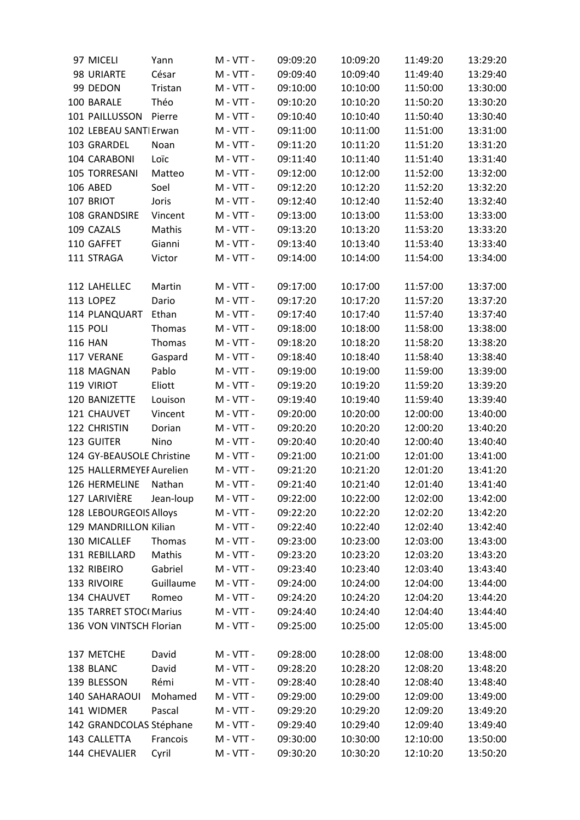| 97 MICELI                 | Yann      | M - VTT -   | 09:09:20 | 10:09:20 | 11:49:20 | 13:29:20 |
|---------------------------|-----------|-------------|----------|----------|----------|----------|
| 98 URIARTE                | César     | $M - VTT -$ | 09:09:40 | 10:09:40 | 11:49:40 | 13:29:40 |
| 99 DEDON                  | Tristan   | M - VTT -   | 09:10:00 | 10:10:00 | 11:50:00 | 13:30:00 |
| 100 BARALE                | Théo      | M - VTT -   | 09:10:20 | 10:10:20 | 11:50:20 | 13:30:20 |
| 101 PAILLUSSON            | Pierre    | M - VTT -   | 09:10:40 | 10:10:40 | 11:50:40 | 13:30:40 |
| 102 LEBEAU SANTI Erwan    |           | M - VTT -   | 09:11:00 | 10:11:00 | 11:51:00 | 13:31:00 |
| 103 GRARDEL               | Noan      | M - VTT -   | 09:11:20 | 10:11:20 | 11:51:20 | 13:31:20 |
| 104 CARABONI              | Loïc      | M - VTT -   | 09:11:40 | 10:11:40 | 11:51:40 | 13:31:40 |
| 105 TORRESANI             | Matteo    | M - VTT -   | 09:12:00 | 10:12:00 | 11:52:00 | 13:32:00 |
| <b>106 ABED</b>           | Soel      | M - VTT -   | 09:12:20 | 10:12:20 | 11:52:20 | 13:32:20 |
| 107 BRIOT                 | Joris     | M - VTT -   | 09:12:40 | 10:12:40 | 11:52:40 | 13:32:40 |
| 108 GRANDSIRE             | Vincent   | M - VTT -   | 09:13:00 | 10:13:00 | 11:53:00 | 13:33:00 |
| 109 CAZALS                | Mathis    | M - VTT -   | 09:13:20 | 10:13:20 | 11:53:20 | 13:33:20 |
| 110 GAFFET                | Gianni    | M - VTT -   | 09:13:40 | 10:13:40 | 11:53:40 | 13:33:40 |
| 111 STRAGA                | Victor    | $M - VTT -$ | 09:14:00 | 10:14:00 | 11:54:00 | 13:34:00 |
|                           |           |             |          |          |          |          |
| 112 LAHELLEC              | Martin    | M - VTT -   | 09:17:00 | 10:17:00 | 11:57:00 | 13:37:00 |
| 113 LOPEZ                 | Dario     | M - VTT -   | 09:17:20 | 10:17:20 | 11:57:20 | 13:37:20 |
| 114 PLANQUART             | Ethan     | M - VTT -   | 09:17:40 | 10:17:40 | 11:57:40 | 13:37:40 |
| <b>115 POLI</b>           | Thomas    | M - VTT -   | 09:18:00 | 10:18:00 | 11:58:00 | 13:38:00 |
| <b>116 HAN</b>            | Thomas    | M - VTT -   | 09:18:20 | 10:18:20 | 11:58:20 | 13:38:20 |
| 117 VERANE                | Gaspard   | M - VTT -   | 09:18:40 | 10:18:40 | 11:58:40 | 13:38:40 |
| 118 MAGNAN                | Pablo     | M - VTT -   | 09:19:00 | 10:19:00 | 11:59:00 | 13:39:00 |
| 119 VIRIOT                | Eliott    | M - VTT -   | 09:19:20 | 10:19:20 | 11:59:20 | 13:39:20 |
| 120 BANIZETTE             | Louison   | M - VTT -   | 09:19:40 | 10:19:40 | 11:59:40 | 13:39:40 |
| 121 CHAUVET               | Vincent   | M - VTT -   | 09:20:00 | 10:20:00 | 12:00:00 | 13:40:00 |
| 122 CHRISTIN              | Dorian    | M - VTT -   | 09:20:20 | 10:20:20 | 12:00:20 | 13:40:20 |
| 123 GUITER                | Nino      | M - VTT -   | 09:20:40 | 10:20:40 | 12:00:40 | 13:40:40 |
| 124 GY-BEAUSOLE Christine |           | M - VTT -   | 09:21:00 | 10:21:00 | 12:01:00 | 13:41:00 |
| 125 HALLERMEYEF Aurelien  |           | M - VTT -   | 09:21:20 | 10:21:20 | 12:01:20 | 13:41:20 |
| 126 HERMELINE             | Nathan    | M - VTT -   | 09:21:40 | 10:21:40 | 12:01:40 | 13:41:40 |
| 127 LARIVIÈRE             | Jean-loup | M - VTT -   | 09:22:00 | 10:22:00 | 12:02:00 | 13:42:00 |
| 128 LEBOURGEOIS Alloys    |           | M - VTT -   | 09:22:20 | 10:22:20 | 12:02:20 | 13:42:20 |
| 129 MANDRILLON Kilian     |           | M - VTT -   | 09:22:40 | 10:22:40 | 12:02:40 | 13:42:40 |
| 130 MICALLEF              | Thomas    | $M - VTT -$ | 09:23:00 | 10:23:00 | 12:03:00 | 13:43:00 |
| 131 REBILLARD             | Mathis    | $M - VTT -$ | 09:23:20 | 10:23:20 | 12:03:20 | 13:43:20 |
| 132 RIBEIRO               | Gabriel   | M - VTT -   | 09:23:40 | 10:23:40 | 12:03:40 | 13:43:40 |
| 133 RIVOIRE               | Guillaume | M - VTT -   | 09:24:00 | 10:24:00 | 12:04:00 | 13:44:00 |
| 134 CHAUVET               | Romeo     | $M - VTT -$ | 09:24:20 | 10:24:20 | 12:04:20 | 13:44:20 |
| 135 TARRET STOC(Marius    |           | M - VTT -   | 09:24:40 | 10:24:40 | 12:04:40 | 13:44:40 |
| 136 VON VINTSCH Florian   |           | $M - VTT -$ | 09:25:00 | 10:25:00 | 12:05:00 | 13:45:00 |
|                           |           |             |          |          |          |          |
| 137 METCHE                | David     | M - VTT -   | 09:28:00 | 10:28:00 | 12:08:00 | 13:48:00 |
| 138 BLANC                 | David     | M - VTT -   | 09:28:20 | 10:28:20 | 12:08:20 | 13:48:20 |
| 139 BLESSON               | Rémi      | $M - VTT -$ | 09:28:40 | 10:28:40 | 12:08:40 | 13:48:40 |
| 140 SAHARAOUI             | Mohamed   | $M - VTT -$ | 09:29:00 | 10:29:00 | 12:09:00 | 13:49:00 |
| 141 WIDMER                | Pascal    | M - VTT -   | 09:29:20 | 10:29:20 | 12:09:20 | 13:49:20 |
| 142 GRANDCOLAS Stéphane   |           | M - VTT -   | 09:29:40 | 10:29:40 | 12:09:40 | 13:49:40 |
| 143 CALLETTA              | Francois  | M - VTT -   | 09:30:00 | 10:30:00 | 12:10:00 | 13:50:00 |
| 144 CHEVALIER             | Cyril     | M - VTT -   | 09:30:20 | 10:30:20 | 12:10:20 | 13:50:20 |
|                           |           |             |          |          |          |          |